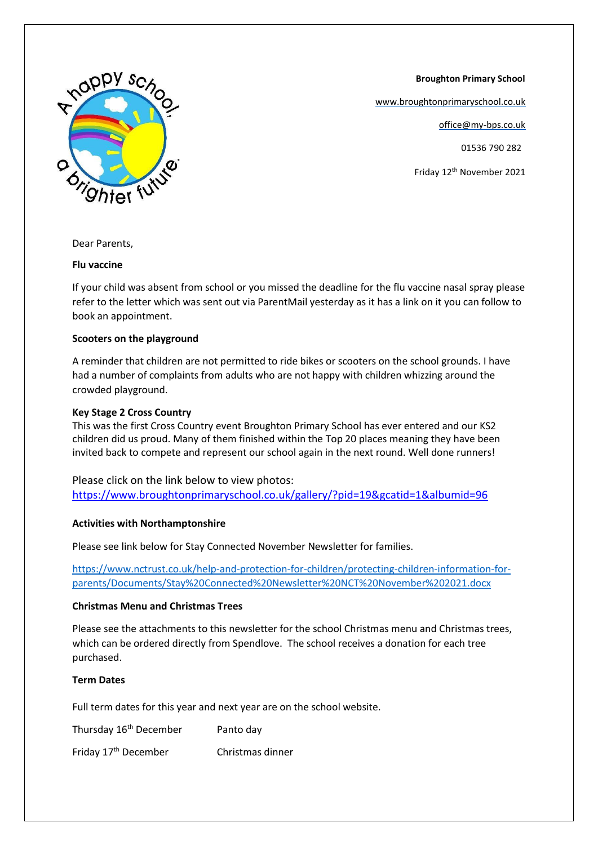**Broughton Primary School**

[www.broughtonprimaryschool.co.uk](http://www.broughtonprimaryschool.co.uk/)

office@my-bps.co.uk

01536 790 282

Friday 12th November 2021



Dear Parents,

#### **Flu vaccine**

If your child was absent from school or you missed the deadline for the flu vaccine nasal spray please refer to the letter which was sent out via ParentMail yesterday as it has a link on it you can follow to book an appointment.

### **Scooters on the playground**

A reminder that children are not permitted to ride bikes or scooters on the school grounds. I have had a number of complaints from adults who are not happy with children whizzing around the crowded playground.

## **Key Stage 2 Cross Country**

This was the first Cross Country event Broughton Primary School has ever entered and our KS2 children did us proud. Many of them finished within the Top 20 places meaning they have been invited back to compete and represent our school again in the next round. Well done runners!

Please click on the link below to view photos: <https://www.broughtonprimaryschool.co.uk/gallery/?pid=19&gcatid=1&albumid=96>

### **Activities with Northamptonshire**

Please see link below for Stay Connected November Newsletter for families.

[https://www.nctrust.co.uk/help-and-protection-for-children/protecting-children-information-for](https://www.nctrust.co.uk/help-and-protection-for-children/protecting-children-information-for-parents/Documents/Stay%20Connected%20Newsletter%20NCT%20November%202021.docx)[parents/Documents/Stay%20Connected%20Newsletter%20NCT%20November%202021.docx](https://www.nctrust.co.uk/help-and-protection-for-children/protecting-children-information-for-parents/Documents/Stay%20Connected%20Newsletter%20NCT%20November%202021.docx)

### **Christmas Menu and Christmas Trees**

Please see the attachments to this newsletter for the school Christmas menu and Christmas trees, which can be ordered directly from Spendlove. The school receives a donation for each tree purchased.

# **Term Dates**

Full term dates for this year and next year are on the school website.

| Thursday 16 <sup>th</sup> December | Panto day        |
|------------------------------------|------------------|
| Friday 17 <sup>th</sup> December   | Christmas dinner |